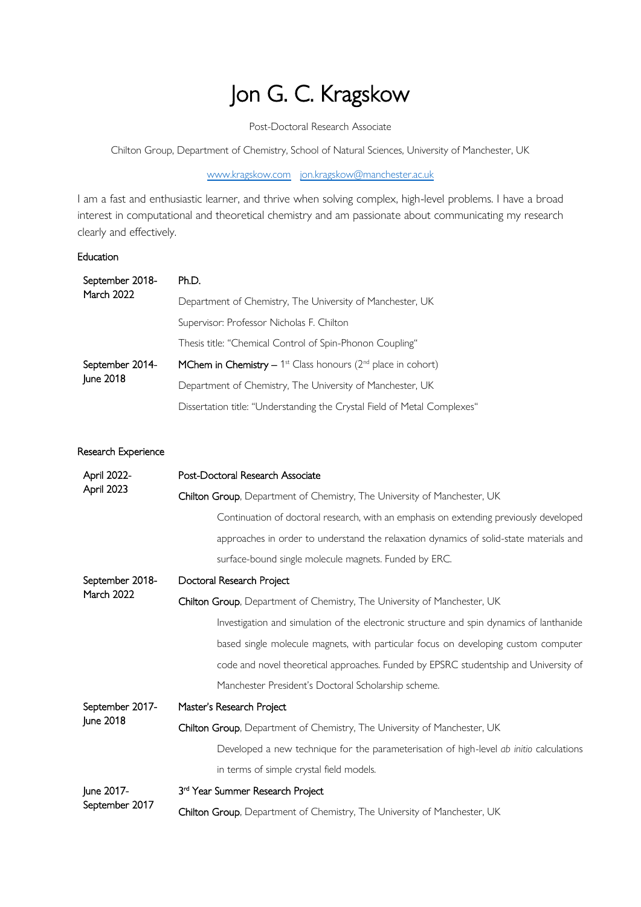# Jon G. C. Kragskow

Post-Doctoral Research Associate

Chilton Group, Department of Chemistry, School of Natural Sciences, University of Manchester, UK

[www.kragskow.com](http://www.kragskow.com/) [jon.kragskow@manchester.ac.uk](mailto:jon.kragskow@manchester.ac.uk)

I am a fast and enthusiastic learner, and thrive when solving complex, high-level problems. I have a broad interest in computational and theoretical chemistry and am passionate about communicating my research clearly and effectively.

## Education

| September 2018-<br>March 2022 | Ph.D.                                                                                    |  |  |
|-------------------------------|------------------------------------------------------------------------------------------|--|--|
|                               | Department of Chemistry, The University of Manchester, UK                                |  |  |
|                               | Supervisor: Professor Nicholas F. Chilton                                                |  |  |
|                               | Thesis title: "Chemical Control of Spin-Phonon Coupling"                                 |  |  |
| September 2014-<br>June 2018  | MChem in Chemistry - $1^{st}$ Class honours ( $2^{nd}$ place in cohort)                  |  |  |
|                               | Department of Chemistry, The University of Manchester, UK                                |  |  |
|                               | Dissertation title: "Understanding the Crystal Field of Metal Complexes"                 |  |  |
| Research Experience           |                                                                                          |  |  |
| April 2022-<br>April 2023     | Post-Doctoral Research Associate                                                         |  |  |
|                               | Chilton Group, Department of Chemistry, The University of Manchester, UK                 |  |  |
|                               | Continuation of doctoral research, with an emphasis on extending previously developed    |  |  |
|                               | approaches in order to understand the relaxation dynamics of solid-state materials and   |  |  |
|                               | surface-bound single molecule magnets. Funded by ERC.                                    |  |  |
| September 2018-<br>March 2022 | Doctoral Research Project                                                                |  |  |
|                               | Chilton Group, Department of Chemistry, The University of Manchester, UK                 |  |  |
|                               | Investigation and simulation of the electronic structure and spin dynamics of lanthanide |  |  |
|                               | based single molecule magnets, with particular focus on developing custom computer       |  |  |
|                               | code and novel theoretical approaches. Funded by EPSRC studentship and University of     |  |  |
|                               | Manchester President's Doctoral Scholarship scheme.                                      |  |  |
| September 2017-<br>June 2018  | Master's Research Project                                                                |  |  |
|                               | Chilton Group, Department of Chemistry, The University of Manchester, UK                 |  |  |
|                               | Developed a new technique for the parameterisation of high-level ab initio calculations  |  |  |
|                               | in terms of simple crystal field models.                                                 |  |  |
| June 2017-<br>September 2017  | 3rd Year Summer Research Project                                                         |  |  |
|                               | Chilton Group, Department of Chemistry, The University of Manchester, UK                 |  |  |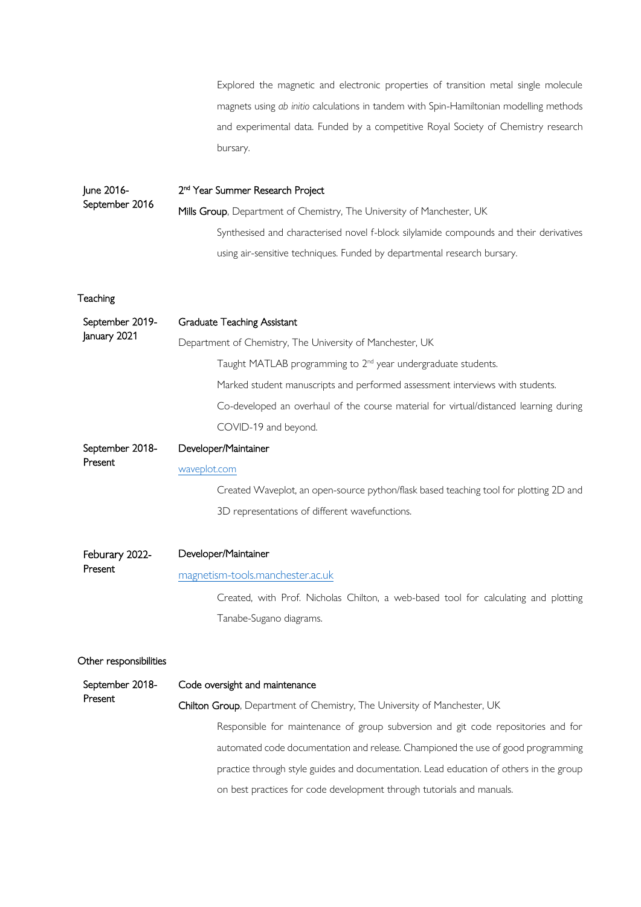Explored the magnetic and electronic properties of transition metal single molecule magnets using *ab initio* calculations in tandem with Spin-Hamiltonian modelling methods and experimental data. Funded by a competitive Royal Society of Chemistry research bursary.

June 2016- September 2016 2<sup>nd</sup> Year Summer Research Project Mills Group, Department of Chemistry, The University of Manchester, UK Synthesised and characterised novel f-block silylamide compounds and their derivatives using air-sensitive techniques. Funded by departmental research bursary.

**Teaching** 

| September 2019-<br>January 2021 | Graduate Teaching Assistant                                                           |  |  |
|---------------------------------|---------------------------------------------------------------------------------------|--|--|
|                                 | Department of Chemistry, The University of Manchester, UK                             |  |  |
|                                 | Taught MATLAB programming to 2 <sup>nd</sup> year undergraduate students.             |  |  |
|                                 | Marked student manuscripts and performed assessment interviews with students.         |  |  |
|                                 | Co-developed an overhaul of the course material for virtual/distanced learning during |  |  |
|                                 | COVID-19 and beyond.                                                                  |  |  |
| September 2018-<br>Present      | Developer/Maintainer                                                                  |  |  |
|                                 | waveplot.com                                                                          |  |  |
|                                 | Created Waveplot, an open-source python/flask based teaching tool for plotting 2D and |  |  |
|                                 | 3D representations of different wavefunctions.                                        |  |  |

| Feburary 2022- | Developer/Maintainer             |
|----------------|----------------------------------|
| Present        | magnetism-tools.manchester.ac.uk |

Created, with Prof. Nicholas Chilton, a web-based tool for calculating and plotting Tanabe-Sugano diagrams.

#### Other responsibilities

| September 2018-<br>Present | Code oversight and maintenance                                                         |  |
|----------------------------|----------------------------------------------------------------------------------------|--|
|                            | Chilton Group, Department of Chemistry, The University of Manchester, UK               |  |
|                            | Responsible for maintenance of group subversion and git code repositories and for      |  |
|                            | automated code documentation and release. Championed the use of good programming       |  |
|                            | practice through style guides and documentation. Lead education of others in the group |  |
|                            | on best practices for code development through tutorials and manuals.                  |  |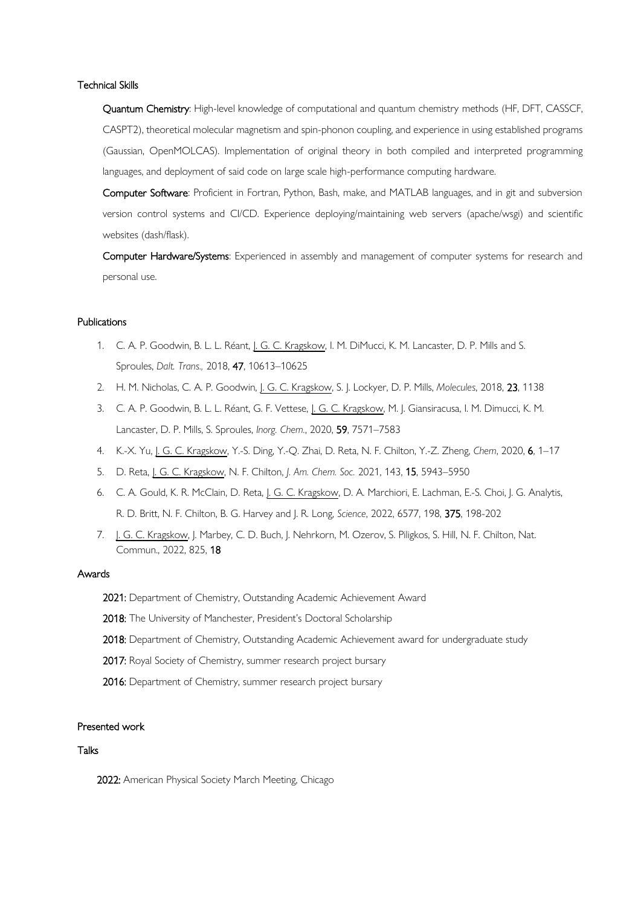#### Technical Skills

Quantum Chemistry: High-level knowledge of computational and quantum chemistry methods (HF, DFT, CASSCF, CASPT2), theoretical molecular magnetism and spin-phonon coupling, and experience in using established programs (Gaussian, OpenMOLCAS). Implementation of original theory in both compiled and interpreted programming languages, and deployment of said code on large scale high-performance computing hardware.

Computer Software: Proficient in Fortran, Python, Bash, make, and MATLAB languages, and in git and subversion version control systems and CI/CD. Experience deploying/maintaining web servers (apache/wsgi) and scientific websites (dash/flask).

Computer Hardware/Systems: Experienced in assembly and management of computer systems for research and personal use.

#### **Publications**

- 1. C. A. P. Goodwin, B. L. L. Réant, J. G. C. Kragskow, I. M. DiMucci, K. M. Lancaster, D. P. Mills and S. Sproules, *Dalt. Trans.,* 2018, 47, 10613–10625
- 2. H. M. Nicholas, C. A. P. Goodwin, J. G. C. Kragskow, S. J. Lockyer, D. P. Mills, *Molecules*, 2018, 23, 1138
- 3. C. A. P. Goodwin, B. L. L. Réant, G. F. Vettese, J. G. C. Kragskow, M. J. Giansiracusa, I. M. Dimucci, K. M. Lancaster, D. P. Mills, S. Sproules, *Inorg. Chem.*, 2020, 59, 7571–7583
- 4. K.-X. Yu, J. G. C. Kragskow, Y.-S. Ding, Y.-Q. Zhai, D. Reta, N. F. Chilton, Y.-Z. Zheng, *Chem*, 2020, 6, 1–17
- 5. D. Reta, J. G. C. Kragskow, N. F. Chilton, *J. Am. Chem. Soc.* 2021, 143, 15, 5943–5950
- 6. C. A. Gould, K. R. McClain, D. Reta, J. G. C. Kragskow, D. A. Marchiori, E. Lachman, E.-S. Choi, J. G. Analytis, R. D. Britt, N. F. Chilton, B. G. Harvey and J. R. Long, *Science*, 2022, 6577, 198, 375, 198-202
- 7. J. G. C. Kragskow, J. Marbey, C. D. Buch, J. Nehrkorn, M. Ozerov, S. Piligkos, S. Hill, N. F. Chilton, Nat. Commun., 2022, 825, 18

#### Awards

- 2021: Department of Chemistry, Outstanding Academic Achievement Award
- 2018: The University of Manchester, President's Doctoral Scholarship
- 2018: Department of Chemistry, Outstanding Academic Achievement award for undergraduate study
- 2017: Royal Society of Chemistry, summer research project bursary
- 2016: Department of Chemistry, summer research project bursary

#### Presented work

#### **Talks**

2022: American Physical Society March Meeting, Chicago